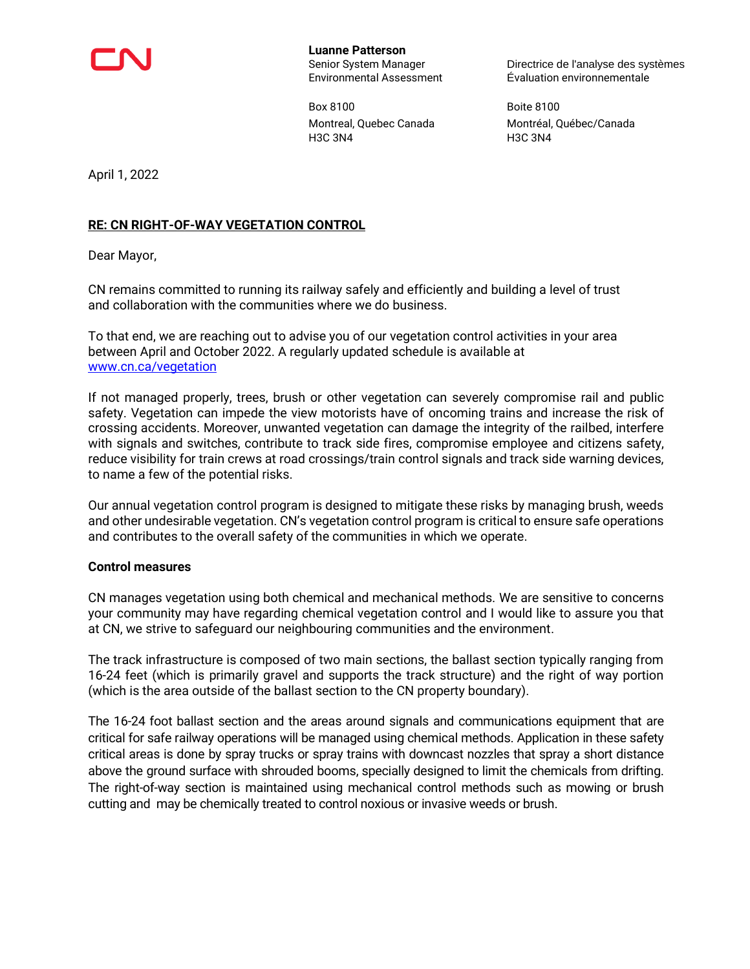

**Luanne Patterson**

Box 8100 Boite 8100 H3C 3N4 H3C 3N4

Senior System Manager Directrice de l'analyse des systèmes Environmental Assessment Évaluation environnementale

Montreal, Quebec Canada Montréal, Québec/Canada

April 1, 2022

## **RE: CN RIGHT-OF-WAY VEGETATION CONTROL**

Dear Mayor,

CN remains committed to running its railway safely and efficiently and building a level of trust and collaboration with the communities where we do business.

To that end, we are reaching out to advise you of our vegetation control activities in your area between April and October 2022. A regularly updated schedule is available at www.cn.ca/vegetation

If not managed properly, trees, brush or other vegetation can severely compromise rail and public safety. Vegetation can impede the view motorists have of oncoming trains and increase the risk of crossing accidents. Moreover, unwanted vegetation can damage the integrity of the railbed, interfere with signals and switches, contribute to track side fires, compromise employee and citizens safety, reduce visibility for train crews at road crossings/train control signals and track side warning devices, to name a few of the potential risks.

Our annual vegetation control program is designed to mitigate these risks by managing brush, weeds and other undesirable vegetation. CN's vegetation control program is critical to ensure safe operations and contributes to the overall safety of the communities in which we operate.

## **Control measures**

CN manages vegetation using both chemical and mechanical methods. We are sensitive to concerns your community may have regarding chemical vegetation control and I would like to assure you that at CN, we strive to safeguard our neighbouring communities and the environment.

The track infrastructure is composed of two main sections, the ballast section typically ranging from 16-24 feet (which is primarily gravel and supports the track structure) and the right of way portion (which is the area outside of the ballast section to the CN property boundary).

The 16-24 foot ballast section and the areas around signals and communications equipment that are critical for safe railway operations will be managed using chemical methods. Application in these safety critical areas is done by spray trucks or spray trains with downcast nozzles that spray a short distance above the ground surface with shrouded booms, specially designed to limit the chemicals from drifting. The right-of-way section is maintained using mechanical control methods such as mowing or brush cutting and may be chemically treated to control noxious or invasive weeds or brush.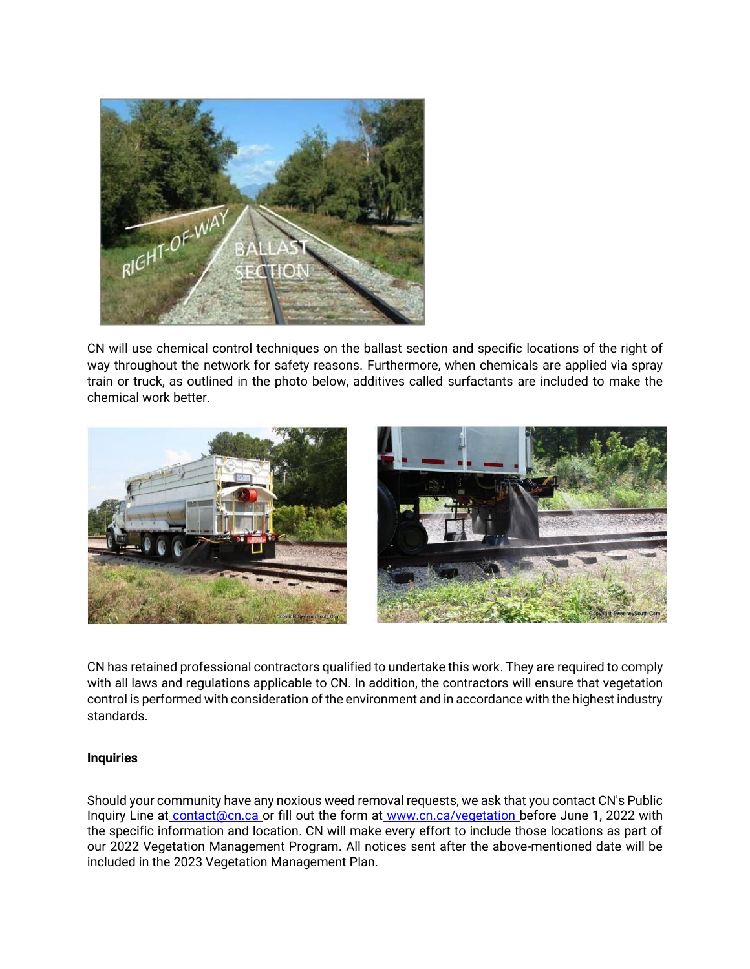

CN will use chemical control techniques on the ballast section and specific locations of the right of way throughout the network for safety reasons. Furthermore, when chemicals are applied via spray train or truck, as outlined in the photo below, additives called surfactants are included to make the chemical work better.



CN has retained professional contractors qualified to undertake this work. They are required to comply with all laws and regulations applicable to CN. In addition, the contractors will ensure that vegetation control is performed with consideration of the environment and in accordance with the highest industry standards.

## **Inquiries**

Should your community have any noxious weed removal requests, we ask that you contact CN's Public Inquiry Line at [contact@cn.ca](mailto:contact@cn.ca) or fill out the form at [www.cn.ca/vegetation](http://www.cn.ca/vegetation) before June 1, 2022 with the specific information and location. CN will make every effort to include those locations as part of our 2022 Vegetation Management Program. All notices sent after the above-mentioned date will be included in the 2023 Vegetation Management Plan.